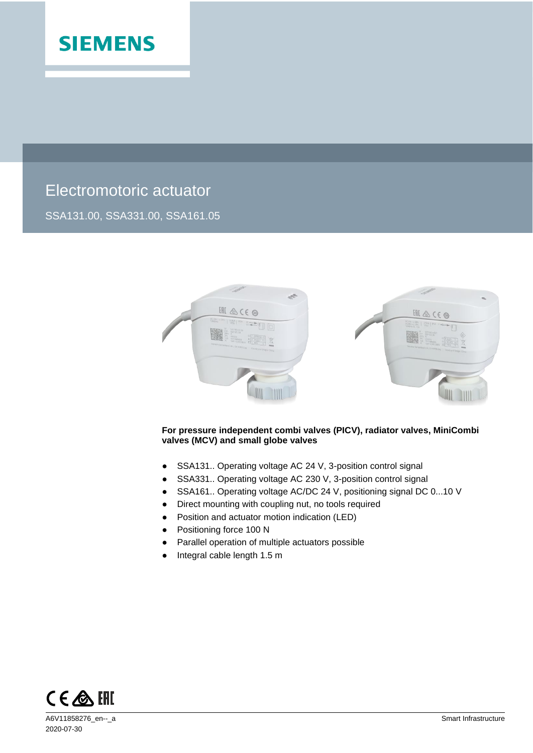

# Electromotoric actuator

SSA131.00, SSA331.00, SSA161.05



### **For pressure independent combi valves (PICV), radiator valves, MiniCombi valves (MCV) and small globe valves**

- SSA131.. Operating voltage AC 24 V, 3-position control signal
- SSA331.. Operating voltage AC 230 V, 3-position control signal
- SSA161.. Operating voltage AC/DC 24 V, positioning signal DC 0...10 V
- Direct mounting with coupling nut, no tools required
- Position and actuator motion indication (LED)
- Positioning force 100 N
- Parallel operation of multiple actuators possible
- Integral cable length 1.5 m

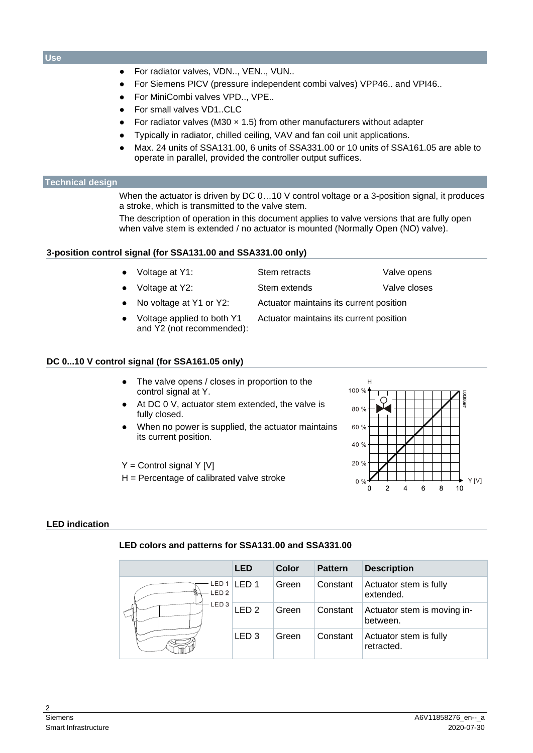### **Use**

- For radiator valves, VDN.., VEN.., VUN..
- For Siemens PICV (pressure independent combi valves) VPP46.. and VPI46..
- For MiniCombi valves VPD.., VPE..
- For small valves VD1..CLC
- For radiator valves (M30  $\times$  1.5) from other manufacturers without adapter
- Typically in radiator, chilled ceiling, VAV and fan coil unit applications.
- Max. 24 units of SSA131.00, 6 units of SSA331.00 or 10 units of SSA161.05 are able to operate in parallel, provided the controller output suffices.

### **Technical design**

When the actuator is driven by DC 0...10 V control voltage or a 3-position signal, it produces a stroke, which is transmitted to the valve stem.

The description of operation in this document applies to valve versions that are fully open when valve stem is extended / no actuator is mounted (Normally Open (NO) valve).

### **3-position control signal (for SSA131.00 and SSA331.00 only)**

- Voltage at Y1: Stem retracts Valve opens Voltage at Y2: Stem extends Valve closes
- No voltage at Y1 or Y2: Actuator maintains its current position
- Voltage applied to both Y1 and Y2 (not recommended): Actuator maintains its current position

### **DC 0...10 V control signal (for SSA161.05 only)**

- The valve opens / closes in proportion to the control signal at Y.
- At DC 0 V, actuator stem extended, the valve is fully closed.
- When no power is supplied, the actuator maintains its current position.

 $Y =$  Control signal Y [V]

 $H =$  Percentage of calibrated valve stroke



### **LED indication**

### **LED colors and patterns for SSA131.00 and SSA331.00**

|                           | <b>LED</b>       | Color | <b>Pattern</b> | <b>Description</b>                      |
|---------------------------|------------------|-------|----------------|-----------------------------------------|
| ED 1.<br>LED <sub>2</sub> | LED 1            | Green | Constant       | Actuator stem is fully<br>extended.     |
| LED <sub>3</sub>          | LED <sub>2</sub> | Green | Constant       | Actuator stem is moving in-<br>between. |
|                           | LED <sub>3</sub> | Green | Constant       | Actuator stem is fully<br>retracted.    |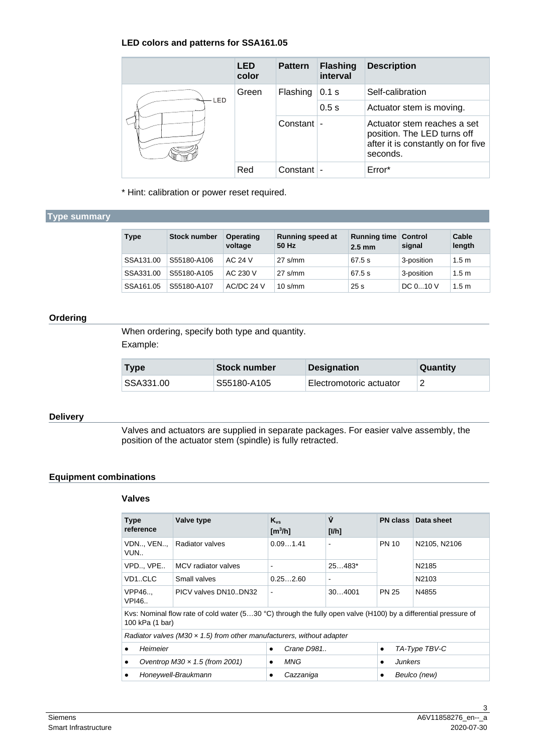### **LED colors and patterns for SSA161.05**

|  |     | <b>LED</b><br>color | <b>Pattern</b> | <b>Flashing</b><br>interval | <b>Description</b>                                                                                           |
|--|-----|---------------------|----------------|-----------------------------|--------------------------------------------------------------------------------------------------------------|
|  |     | Green               | Flashing       | 0.1 s                       | Self-calibration                                                                                             |
|  | LED |                     |                | 0.5s                        | Actuator stem is moving.                                                                                     |
|  |     |                     | Constant       |                             | Actuator stem reaches a set<br>position. The LED turns off<br>after it is constantly on for five<br>seconds. |
|  |     | Red                 | Constant       |                             | Error*                                                                                                       |

\* Hint: calibration or power reset required.

### **Type summary**

| <b>Type</b> | <b>Stock number</b> | Operating<br>voltage | <b>Running speed at</b><br>50 Hz | <b>Running time</b><br>$2.5 \text{ mm}$ | <b>Control</b><br>signal | Cable<br>length  |
|-------------|---------------------|----------------------|----------------------------------|-----------------------------------------|--------------------------|------------------|
| SSA131.00   | S55180-A106         | AC 24 V              | $27 \text{ s/mm}$                | 67.5 s                                  | 3-position               | 1.5 <sub>m</sub> |
| SSA331.00   | S55180-A105         | AC 230 V             | $27$ s/mm                        | 67.5 s                                  | 3-position               | 1.5 <sub>m</sub> |
| SSA161.05   | S55180-A107         | AC/DC 24 V           | $10 \text{ s/mm}$                | 25 <sub>s</sub>                         | DC 010 V                 | 1.5 <sub>m</sub> |

### **Ordering**

When ordering, specify both type and quantity. Example:

| <b>Type</b> | <b>Stock number</b> | <b>Designation</b>      | Quantity |
|-------------|---------------------|-------------------------|----------|
| SSA331.00   | S55180-A105         | Electromotoric actuator |          |

### **Delivery**

Valves and actuators are supplied in separate packages. For easier valve assembly, the position of the actuator stem (spindle) is fully retracted.

### **Equipment combinations**

### **Valves**

| <b>Type</b><br>reference              | Valve type                                                                                                                         | $K_{vs}$<br>$\mathrm{[m^3/h]}$ | Ý<br>[1/h]     |                            | <b>PN class Data sheet</b> |  |  |
|---------------------------------------|------------------------------------------------------------------------------------------------------------------------------------|--------------------------------|----------------|----------------------------|----------------------------|--|--|
| VDN VEN<br>VUN                        | Radiator valves                                                                                                                    | 0.091.41                       | $\blacksquare$ | <b>PN 10</b>               | N2105, N2106               |  |  |
| VPD VPE                               | MCV radiator valves                                                                                                                | $\overline{\phantom{a}}$       | $25483*$       |                            | N2185                      |  |  |
| VD1CLC                                | Small valves                                                                                                                       | 0.252.60                       | $\blacksquare$ |                            | N2103                      |  |  |
| <b>VPP46</b><br>VPI46.                | PICV valves DN10DN32                                                                                                               | $\overline{\phantom{a}}$       | 304001         | <b>PN 25</b>               | N4855                      |  |  |
|                                       | Kys: Nominal flow rate of cold water (530 °C) through the fully open valve (H100) by a differential pressure of<br>100 kPa (1 bar) |                                |                |                            |                            |  |  |
|                                       | Radiator valves (M30 $\times$ 1.5) from other manufacturers, without adapter                                                       |                                |                |                            |                            |  |  |
| Heimeier                              |                                                                                                                                    | Crane D981<br>$\bullet$        |                | TA-Type TBV-C<br>$\bullet$ |                            |  |  |
| Oventrop M30 $\times$ 1.5 (from 2001) |                                                                                                                                    | MNG<br>$\bullet$               |                | <b>Junkers</b>             |                            |  |  |
| Honeywell-Braukmann                   |                                                                                                                                    | Cazzaniga<br>٠                 |                | Beulco (new)<br>٠          |                            |  |  |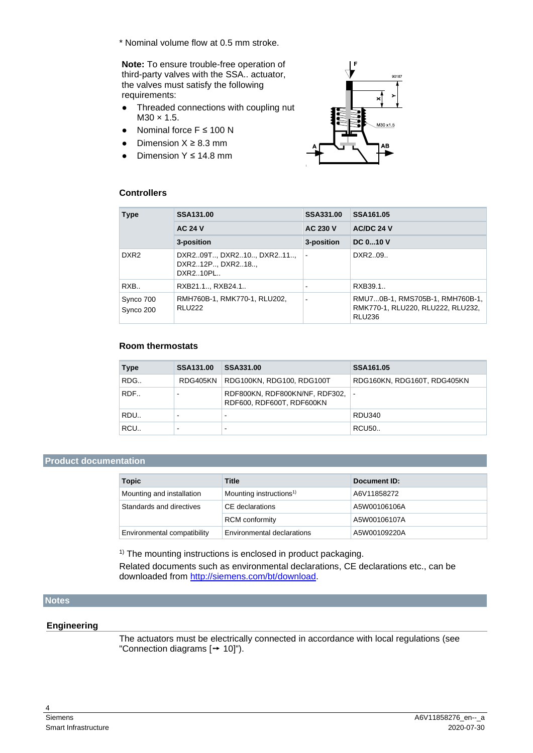\* Nominal volume flow at 0.5 mm stroke.

**Note:** To ensure trouble-free operation of third-party valves with the SSA.. actuator, the valves must satisfy the following requirements:

- Threaded connections with coupling nut  $M30 \times 1.5$ .
- Nominal force  $F \le 100$  N
- $\bullet$  Dimension  $X \geq 8.3$  mm
- Dimension Y ≤ 14.8 mm



### **Controllers**

| <b>Type</b>            | <b>SSA131.00</b>                                    | SSA331.00       | SSA161.05                                                                             |
|------------------------|-----------------------------------------------------|-----------------|---------------------------------------------------------------------------------------|
|                        | <b>AC 24 V</b>                                      | <b>AC 230 V</b> | AC/DC 24 V                                                                            |
|                        | 3-position                                          | 3-position      | <b>DC 010 V</b>                                                                       |
| DXR <sub>2</sub>       | DXR209T DXR210 DXR211<br>DXR212P DXR218<br>DXR210PL |                 | DXR209                                                                                |
| RXB                    | RXB21.1, RXB24.1                                    |                 | RXB39.1.                                                                              |
| Synco 700<br>Synco 200 | RMH760B-1, RMK770-1, RLU202,<br><b>RLU222</b>       |                 | RMU70B-1, RMS705B-1, RMH760B-1,<br>RMK770-1, RLU220, RLU222, RLU232,<br><b>RLU236</b> |

### **Room thermostats**

| <b>Type</b> | <b>SSA131.00</b> | SSA331.00                                                   | SSA161.05                   |
|-------------|------------------|-------------------------------------------------------------|-----------------------------|
| RDG         | RDG405KN         | RDG100KN, RDG100, RDG100T                                   | RDG160KN, RDG160T, RDG405KN |
| RDF         |                  | RDF800KN, RDF800KN/NF, RDF302,<br>RDF600, RDF600T, RDF600KN |                             |
| RDU         |                  |                                                             | <b>RDU340</b>               |
| RCU         |                  |                                                             | <b>RCU50</b>                |

### **Product documentation**

| <b>Topic</b>                | <b>Title</b>                        | Document ID: |
|-----------------------------|-------------------------------------|--------------|
| Mounting and installation   | Mounting instructions <sup>1)</sup> | A6V11858272  |
| Standards and directives    | CE declarations                     | A5W00106106A |
|                             | <b>RCM</b> conformity               | A5W00106107A |
| Environmental compatibility | Environmental declarations          | A5W00109220A |

<sup>1)</sup> The mounting instructions is enclosed in product packaging.

Related documents such as environmental declarations, CE declarations etc., can be downloaded from [http://siemens.com/bt/download.](http://siemens.com/bt/download)

### **Notes**

### **Engineering**

The actuators must be electrically connected in accordance with local regulations (see "Connection diagrams  $[→ 10]$ ").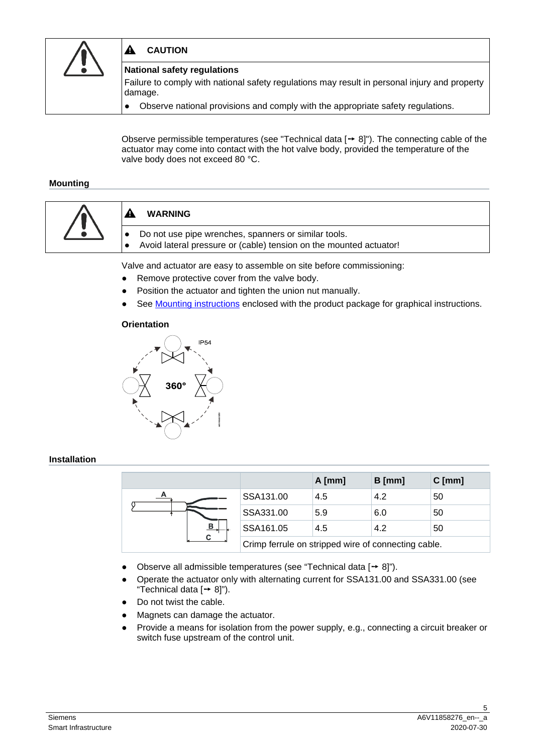

#### **CAUTION** A

### **National safety regulations**

Failure to comply with national safety regulations may result in personal injury and property damage.

● Observe national provisions and comply with the appropriate safety regulations.

Observe permissible temperatures (see "Technical data  $[→ 8]$ "). The connecting cable of the actuator may come into contact with the hot valve body, provided the temperature of the valve body does not exceed 80 °C.

### **Mounting**



Valve and actuator are easy to assemble on site before commissioning:

- Remove protective cover from the valve body.
- Position the actuator and tighten the union nut manually.
- See [Mounting instructions](https://www.siemens.com/download?A6V11858272) enclosed with the product package for graphical instructions.

### **Orientation**



### **Installation**

|   |                                                     | $A$ [mm] | $B$ [mm] | $C$ [mm] |
|---|-----------------------------------------------------|----------|----------|----------|
| A | SSA131.00                                           | 4.5      | 4.2      | 50       |
| в | SSA331.00                                           | 5.9      | 6.0      | 50       |
|   | SSA161.05                                           | 4.5      | 4.2      | 50       |
|   | Crimp ferrule on stripped wire of connecting cable. |          |          |          |

- Observe all admissible temperatures (see "Technical data  $[\rightarrow 8]$ ").
- Operate the actuator only with alternating current for SSA131.00 and SSA331.00 (see "Technical data  $[→ 8]$ ").
- Do not twist the cable.
- Magnets can damage the actuator.
- Provide a means for isolation from the power supply, e.g., connecting a circuit breaker or switch fuse upstream of the control unit.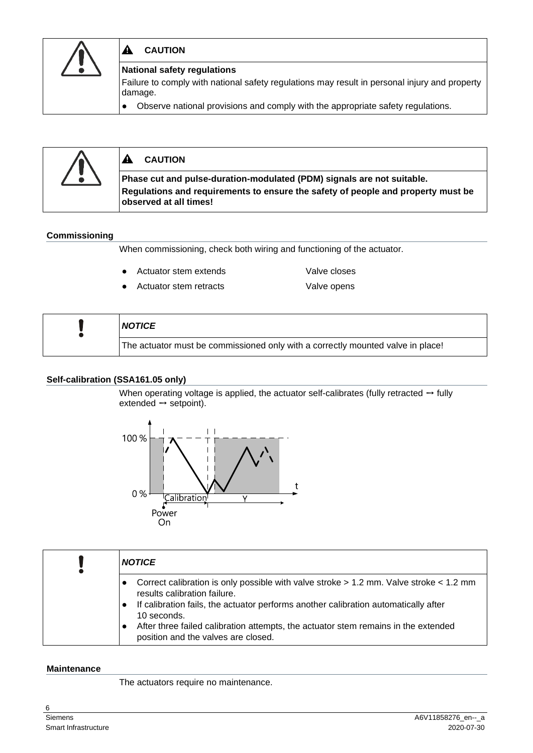

#### ▲ **CAUTION**

### **National safety regulations**

Failure to comply with national safety regulations may result in personal injury and property damage.

● Observe national provisions and comply with the appropriate safety regulations.



#### ▲ **CAUTION**

**Phase cut and pulse-duration-modulated (PDM) signals are not suitable. Regulations and requirements to ensure the safety of people and property must be observed at all times!**

### **Commissioning**

When commissioning, check both wiring and functioning of the actuator.

● Actuator stem extends Valve closes

Actuator stem retracts Valve opens

| <b>NOTICE</b>                                                                   |
|---------------------------------------------------------------------------------|
| The actuator must be commissioned only with a correctly mounted valve in place! |

### **Self-calibration (SSA161.05 only)**

When operating voltage is applied, the actuator self-calibrates (fully retracted  $\rightarrow$  fully extended  $\rightarrow$  setpoint).



| <b>NOTICE</b>                                                                                                                                                                                                                                                                                                                                                                           |
|-----------------------------------------------------------------------------------------------------------------------------------------------------------------------------------------------------------------------------------------------------------------------------------------------------------------------------------------------------------------------------------------|
| Correct calibration is only possible with valve stroke $> 1.2$ mm. Valve stroke $< 1.2$ mm<br>$\bullet$<br>results calibration failure.<br>If calibration fails, the actuator performs another calibration automatically after<br>$\bullet$<br>10 seconds.<br>After three failed calibration attempts, the actuator stem remains in the extended<br>position and the valves are closed. |

### **Maintenance**

The actuators require no maintenance.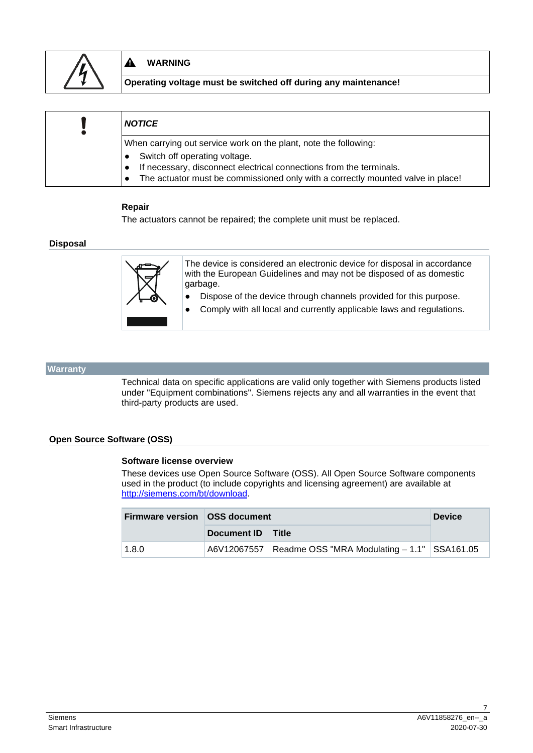

#### A **WARNING**

**Operating voltage must be switched off during any maintenance!**

| <b>NOTICE</b>                                                                   |  |  |  |
|---------------------------------------------------------------------------------|--|--|--|
| When carrying out service work on the plant, note the following:                |  |  |  |
| Switch off operating voltage.                                                   |  |  |  |
| If necessary, disconnect electrical connections from the terminals.             |  |  |  |
| The actuator must be commissioned only with a correctly mounted valve in place! |  |  |  |

### **Repair**

The actuators cannot be repaired; the complete unit must be replaced.

### **Disposal**



The device is considered an electronic device for disposal in accordance with the European Guidelines and may not be disposed of as domestic garbage.

- Dispose of the device through channels provided for this purpose.
- Comply with all local and currently applicable laws and regulations.

### **Warranty**

Technical data on specific applications are valid only together with Siemens products listed under "Equipment combinations". Siemens rejects any and all warranties in the event that third-party products are used.

### **Open Source Software (OSS)**

### **Software license overview**

These devices use Open Source Software (OSS). All Open Source Software components used in the product (to include copyrights and licensing agreement) are available at [http://siemens.com/bt/download.](http://siemens.com/bt/download)

| <b>Firmware version   OSS document</b> |                   |                                                             | <b>Device</b> |  |
|----------------------------------------|-------------------|-------------------------------------------------------------|---------------|--|
|                                        | Document ID Title |                                                             |               |  |
| 1.8.0                                  |                   | A6V12067557   Readme OSS "MRA Modulating - 1.1"   SSA161.05 |               |  |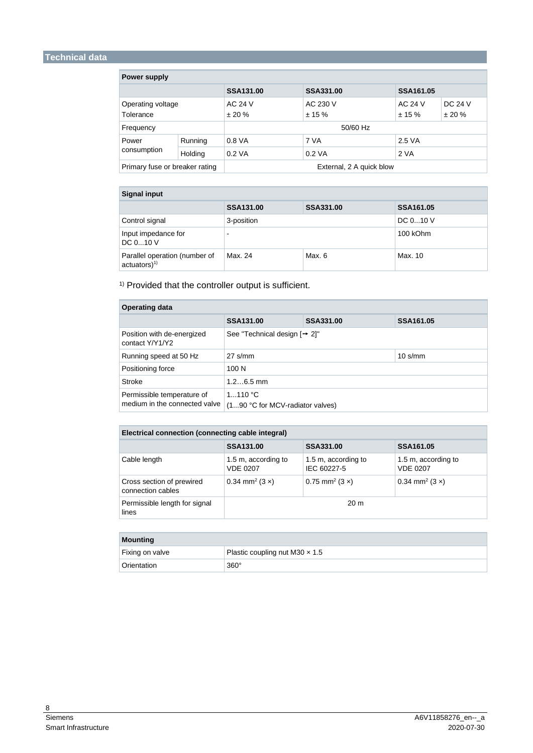## **Technical data**

| Power supply                   |         |                                      |           |           |           |
|--------------------------------|---------|--------------------------------------|-----------|-----------|-----------|
|                                |         | <b>SSA131.00</b><br><b>SSA331.00</b> |           | SSA161.05 |           |
| Operating voltage              |         | AC 24 V                              | AC 230 V  | AC 24 V   | DC 24 V   |
| Tolerance                      |         | ± 20%                                | $± 15 \%$ | $± 15 \%$ | $± 20 \%$ |
| Frequency                      |         | 50/60 Hz                             |           |           |           |
| Power                          | Running | 0.8 VA                               | 7 VA      | 2.5 VA    |           |
| consumption                    | Holding | $0.2$ VA                             | $0.2$ VA  | 2 VA      |           |
| Primary fuse or breaker rating |         | External, 2 A quick blow             |           |           |           |

| <b>Signal input</b>                                         |                  |           |                  |
|-------------------------------------------------------------|------------------|-----------|------------------|
|                                                             | <b>SSA131.00</b> | SSA331.00 | <b>SSA161.05</b> |
| Control signal                                              | 3-position       |           | DC 010 V         |
| Input impedance for<br>DC 010 V                             | $\sim$           |           | 100 kOhm         |
| Parallel operation (number of<br>$actuators)$ <sup>1)</sup> | Max. 24          | Max. 6    | Max. 10          |

<sup>1)</sup> Provided that the controller output is sufficient.

| <b>Operating data</b>                                       |                                             |           |                   |
|-------------------------------------------------------------|---------------------------------------------|-----------|-------------------|
|                                                             | <b>SSA131.00</b>                            | SSA331.00 | SSA161.05         |
| Position with de-energized<br>contact Y/Y1/Y2               | See "Technical design $[$ $\rightarrow$ 2]" |           |                   |
| Running speed at 50 Hz                                      | $27$ s/mm                                   |           | $10 \text{ s/mm}$ |
| Positioning force                                           | 100 N                                       |           |                   |
| <b>Stroke</b>                                               | $1.26.5$ mm                                 |           |                   |
| Permissible temperature of<br>medium in the connected valve | 1110 °C<br>(190 °C for MCV-radiator valves) |           |                   |

| Electrical connection (connecting cable integral) |                                        |                                    |                                        |
|---------------------------------------------------|----------------------------------------|------------------------------------|----------------------------------------|
|                                                   | SSA131.00                              | SSA331.00                          | SSA161.05                              |
| Cable length                                      | 1.5 m, according to<br><b>VDE 0207</b> | 1.5 m, according to<br>IEC 60227-5 | 1.5 m, according to<br><b>VDE 0207</b> |
| Cross section of prewired<br>connection cables    | $0.34$ mm <sup>2</sup> (3 x)           | $0.75$ mm <sup>2</sup> (3 x)       | $0.34$ mm <sup>2</sup> (3 x)           |
| Permissible length for signal<br>lines            | 20 <sub>m</sub>                        |                                    |                                        |
|                                                   |                                        |                                    |                                        |

| <b>Mounting</b> |                                       |
|-----------------|---------------------------------------|
| Fixing on valve | Plastic coupling nut M30 $\times$ 1.5 |
| Orientation     | $360^\circ$                           |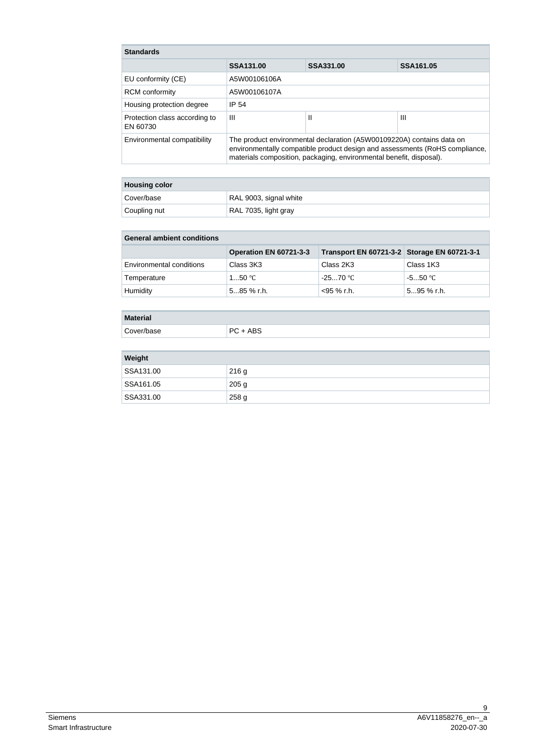| <b>Standards</b>                          |                                                                                                                                                                                                                             |           |           |
|-------------------------------------------|-----------------------------------------------------------------------------------------------------------------------------------------------------------------------------------------------------------------------------|-----------|-----------|
|                                           | SSA131.00                                                                                                                                                                                                                   | SSA331.00 | SSA161.05 |
| EU conformity (CE)                        | A5W00106106A                                                                                                                                                                                                                |           |           |
| <b>RCM</b> conformity                     | A5W00106107A                                                                                                                                                                                                                |           |           |
| Housing protection degree                 | IP 54                                                                                                                                                                                                                       |           |           |
| Protection class according to<br>EN 60730 | Ш                                                                                                                                                                                                                           | Ш         | Ш         |
| Environmental compatibility               | The product environmental declaration (A5W00109220A) contains data on<br>environmentally compatible product design and assessments (RoHS compliance,<br>materials composition, packaging, environmental benefit, disposal). |           |           |

| <b>Housing color</b> |                        |
|----------------------|------------------------|
| Cover/base           | RAL 9003, signal white |
| Coupling nut         | RAL 7035, light gray   |

| <b>General ambient conditions</b> |                        |                                             |               |
|-----------------------------------|------------------------|---------------------------------------------|---------------|
|                                   | Operation EN 60721-3-3 | Transport EN 60721-3-2 Storage EN 60721-3-1 |               |
| Environmental conditions          | Class 3K3              | Class 2K3                                   | Class 1K3     |
| Temperature                       | 1…50 °C                | $-2570$ °C                                  | -5…50 °C      |
| Humidity                          | 585 % r.h.             | <95 % r.h.                                  | $595 \%$ r.h. |

### **Material**

Cover/base PC + ABS

| Weight    |                  |
|-----------|------------------|
| SSA131.00 | 216g             |
| SSA161.05 | 205 <sub>g</sub> |
| SSA331.00 | 258 g            |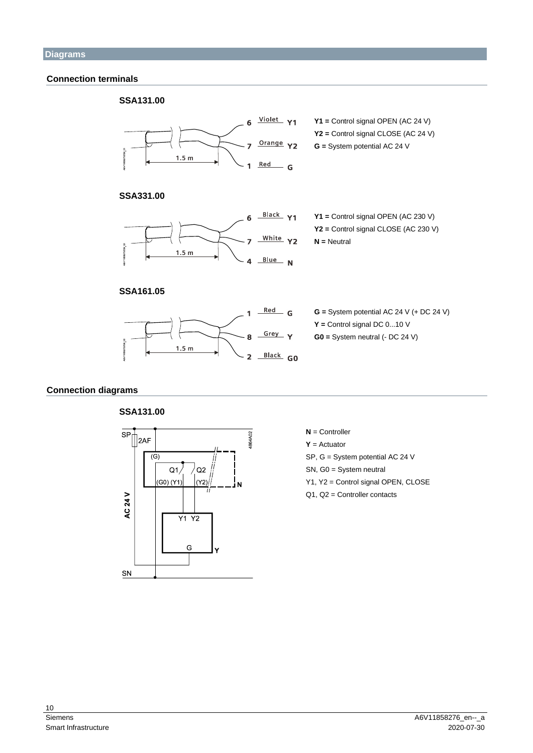### **Connection terminals**



### **Connection diagrams**



**N** = Controller

**Y** = Actuator

- SP, G = System potential AC 24 V
- SN, G0 = System neutral
- Y1, Y2 = Control signal OPEN, CLOSE
- Q1, Q2 = Controller contacts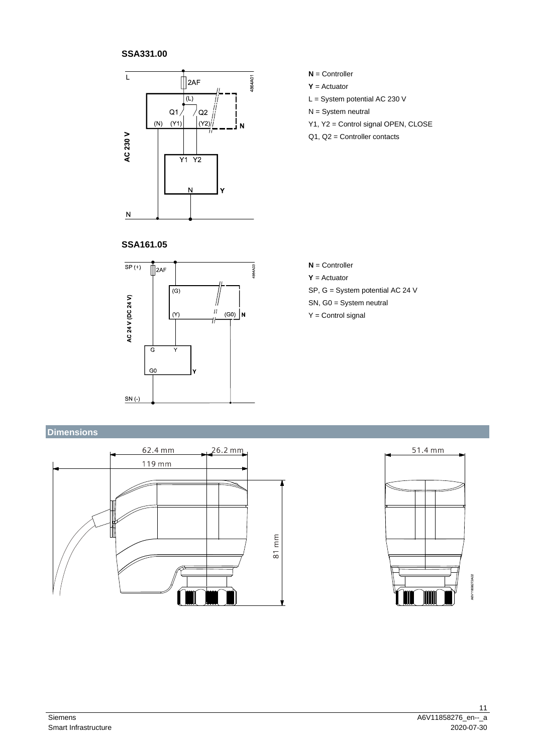### **SSA331.00**



- **N** = Controller
- **Y** = Actuator
- L = System potential AC 230 V
- N = System neutral
- Y1, Y2 = Control signal OPEN, CLOSE
- Q1, Q2 = Controller contacts

### **SSA161.05**



### **N** = Controller **Y** = Actuator

- SP, G = System potential AC 24 V
- SN, G0 = System neutral
- Y = Control signal

# **Dimensions**